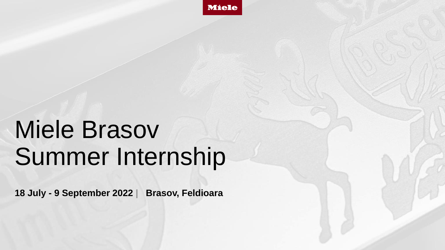

# Miele Brasov Summer Internship

**18 July - 9 September 2022 | Brasov, Feldioara**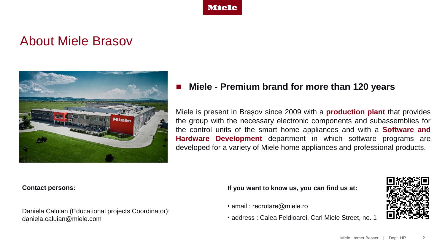

#### About Miele Brasov



#### ◼ **Miele - Premium brand for more than 120 years**

Miele is present in Brașov since 2009 with a **production plant** that provides the group with the necessary electronic components and subassemblies for the control units of the smart home appliances and with a **Software and Hardware Development** department in which software programs are developed for a variety of Miele home appliances and professional products.

#### **Contact persons:**

Daniela Caluian (Educational projects Coordinator): daniela.caluian@miele.com

**If you want to know us, you can find us at:**

- email : recrutare@miele.ro
- address : Calea Feldioarei, Carl Miele Street, no. 1

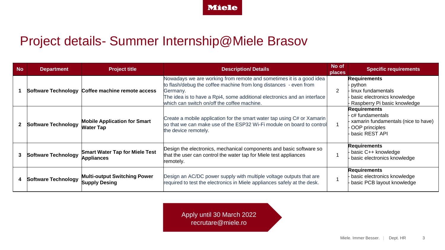**Miele** 

### Project details- Summer Internship@Miele Brasov

| <b>No</b> | <b>Department</b>          | <b>Project title</b>                                        | <b>Description/Details</b>                                                                                                                                                                                                                                                      | No of<br>places | <b>Specific requirements</b>                                                                                         |
|-----------|----------------------------|-------------------------------------------------------------|---------------------------------------------------------------------------------------------------------------------------------------------------------------------------------------------------------------------------------------------------------------------------------|-----------------|----------------------------------------------------------------------------------------------------------------------|
|           |                            | Software Technology Coffee machine remote access            | Nowadays we are working from remote and sometimes it is a good idea<br>to flash/debug the coffee machine from long distances - even from<br>Germany.<br>The idea is to have a Rpi4, some additional electronics and an interface<br>which can switch on/off the coffee machine. | 2               | <b>Requirements</b><br>python<br>· linux fundamentals<br>basic electronics knowledge<br>Raspberry Pi basic knowledge |
|           | <b>Software Technology</b> | <b>Mobile Application for Smart</b><br><b>Water Tap</b>     | Create a mobile application for the smart water tap using C# or Xamarin<br>so that we can make use of the ESP32 Wi-Fi module on board to control<br>the device remotely.                                                                                                        |                 | <b>Requirements</b><br>c# fundamentals<br>xamarin fundamentals (nice to have)<br>OOP principles<br>basic REST API    |
| 3         | <b>Software Technology</b> | <b>Smart Water Tap for Miele Test</b><br><b>Appliances</b>  | Design the electronics, mechanical components and basic software so<br>that the user can control the water tap for Miele test appliances<br>remotely.                                                                                                                           |                 | <b>Requirements</b><br>basic C++ knowledge<br>basic electronics knowledge                                            |
| 4         | <b>Software Technology</b> | <b>Multi-output Switching Power</b><br><b>Supply Desing</b> | Design an AC/DC power supply with multiple voltage outputs that are<br>required to test the electronics in Miele appliances safely at the desk.                                                                                                                                 |                 | <b>Requirements</b><br>basic electronics knowledge<br>basic PCB layout knowledge                                     |

Apply until 30 March 2022 recrutare@miele.ro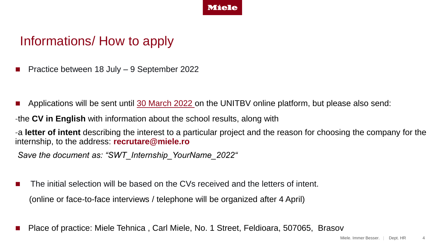

#### Informations/ How to apply

- ◼ Practice between 18 July 9 September 2022
- Applications will be sent until 30 March 2022 on the UNITBV online platform, but please also send:
- -the **CV in English** with information about the school results, along with
- -a **letter of intent** describing the interest to a particular project and the reason for choosing the company for the internship, to the address: **recrutare@miele.ro**
- *Save the document as: "SWT\_Internship\_YourName\_2022"*
- The initial selection will be based on the CVs received and the letters of intent.

(online or face-to-face interviews / telephone will be organized after 4 April)

Place of practice: Miele Tehnica, Carl Miele, No. 1 Street, Feldioara, 507065, Brasov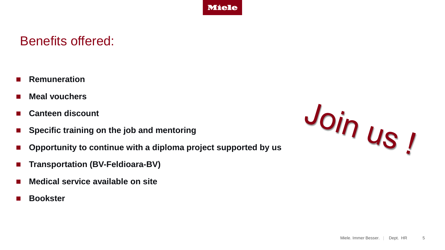

#### Benefits offered:

- **Remuneration**
- **Meal vouchers**
- **Canteen discount**
- Specific training on the job and mentoring
- Opportunity to continue with a diploma project supported by us
- ◼ **Transportation (BV-Feldioara-BV)**
- ◼ **Medical service available on site**
- ◼ **Bookster**